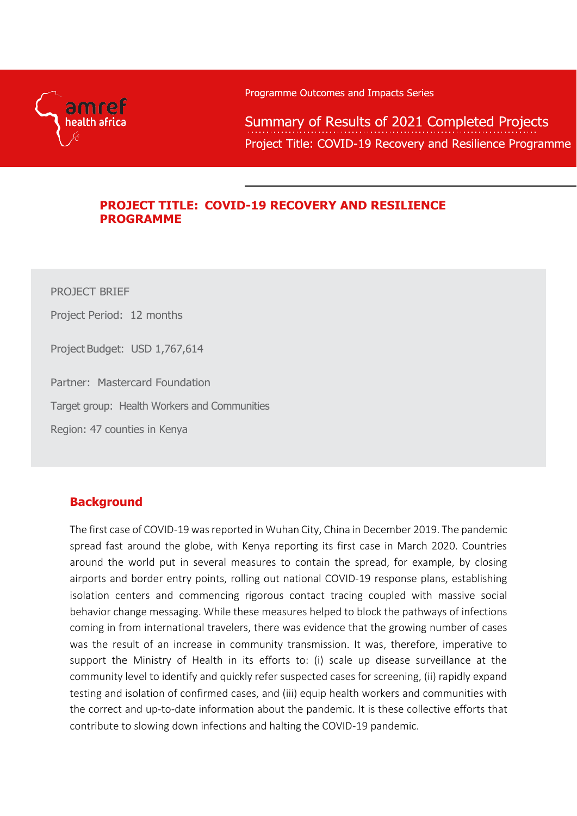

Programme Outcomes and Impacts Series

Summary of Results of 2021 Completed Projects Project Title: COVID-19 Recovery and Resilience Programme

### **PROJECT TITLE: COVID-19 RECOVERY AND RESILIENCE PROGRAMME**

PROJECT BRIEF Project Period: 12 months Project Budget: USD 1,767,614 Partner: Mastercard Foundation Target group: Health Workers and Communities Region: 47 counties in Kenya

## **Background**

The first case of COVID-19 was reported in Wuhan City, China in December 2019. The pandemic spread fast around the globe, with Kenya reporting its first case in March 2020. Countries around the world put in several measures to contain the spread, for example, by closing airports and border entry points, rolling out national COVID-19 response plans, establishing isolation centers and commencing rigorous contact tracing coupled with massive social behavior change messaging. While these measures helped to block the pathways of infections coming in from international travelers, there was evidence that the growing number of cases was the result of an increase in community transmission. It was, therefore, imperative to support the Ministry of Health in its efforts to: (i) scale up disease surveillance at the community level to identify and quickly refer suspected cases for screening, (ii) rapidly expand testing and isolation of confirmed cases, and (iii) equip health workers and communities with the correct and up-to-date information about the pandemic. It is these collective efforts that contribute to slowing down infections and halting the COVID-19 pandemic.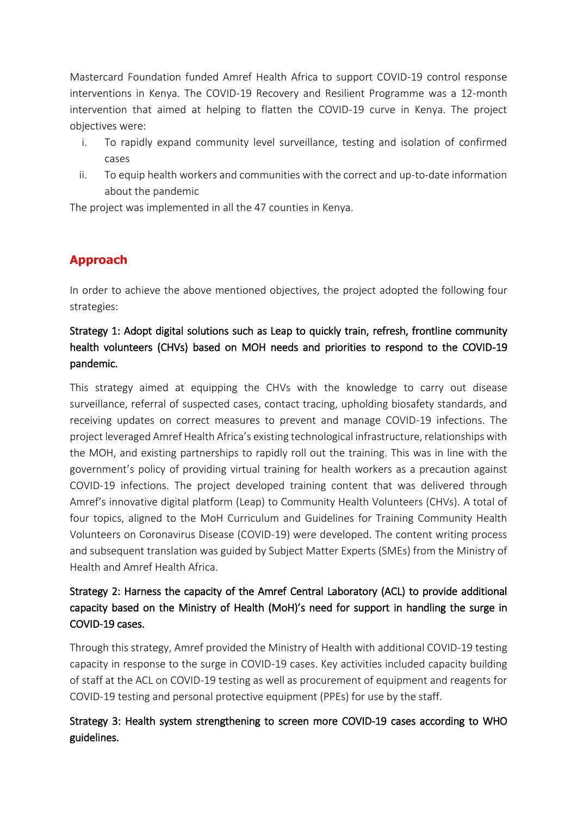Mastercard Foundation funded Amref Health Africa to support COVID-19 control response interventions in Kenya. The COVID-19 Recovery and Resilient Programme was a 12-month intervention that aimed at helping to flatten the COVID-19 curve in Kenya. The project objectives were:

- i. To rapidly expand community level surveillance, testing and isolation of confirmed cases
- ii. To equip health workers and communities with the correct and up-to-date information about the pandemic

The project was implemented in all the 47 counties in Kenya.

# **Approach**

In order to achieve the above mentioned objectives, the project adopted the following four strategies:

# Strategy 1: Adopt digital solutions such as Leap to quickly train, refresh, frontline community health volunteers (CHVs) based on MOH needs and priorities to respond to the COVID-19 pandemic.

This strategy aimed at equipping the CHVs with the knowledge to carry out disease surveillance, referral of suspected cases, contact tracing, upholding biosafety standards, and receiving updates on correct measures to prevent and manage COVID-19 infections. The project leveraged Amref Health Africa's existing technological infrastructure, relationships with the MOH, and existing partnerships to rapidly roll out the training. This was in line with the government's policy of providing virtual training for health workers as a precaution against COVID-19 infections. The project developed training content that was delivered through Amref's innovative digital platform (Leap) to Community Health Volunteers (CHVs). A total of four topics, aligned to the MoH Curriculum and Guidelines for Training Community Health Volunteers on Coronavirus Disease (COVID-19) were developed. The content writing process and subsequent translation was guided by Subject Matter Experts (SMEs) from the Ministry of Health and Amref Health Africa.

### Strategy 2: Harness the capacity of the Amref Central Laboratory (ACL) to provide additional capacity based on the Ministry of Health (MoH)'s need for support in handling the surge in COVID-19 cases.

Through this strategy, Amref provided the Ministry of Health with additional COVID-19 testing capacity in response to the surge in COVID-19 cases. Key activities included capacity building of staff at the ACL on COVID-19 testing as well as procurement of equipment and reagents for COVID-19 testing and personal protective equipment (PPEs) for use by the staff.

## Strategy 3: Health system strengthening to screen more COVID-19 cases according to WHO guidelines.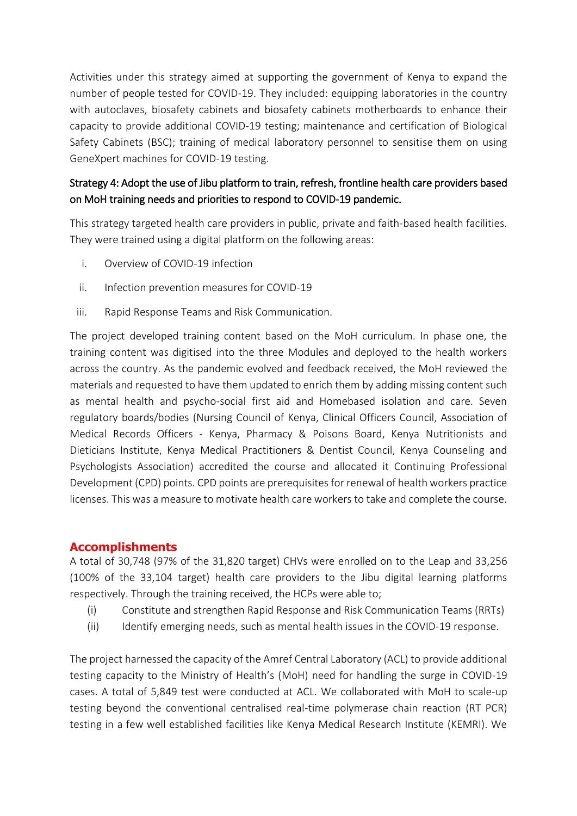Activities under this strategy aimed at supporting the government of Kenya to expand the number of people tested for COVID-19. They included: equipping laboratories in the country with autoclaves, biosafety cabinets and biosafety cabinets motherboards to enhance their capacity to provide additional COVID-19 testing; maintenance and certification of Biological Safety Cabinets (BSC); training of medical laboratory personnel to sensitise them on using GeneXpert machines for COVID-19 testing.

## Strategy 4: Adopt the use of Jibu platform to train, refresh, frontline health care providers based on MoH training needs and priorities to respond to COVID-19 pandemic.

This strategy targeted health care providers in public, private and faith-based health facilities. They were trained using a digital platform on the following areas:

- i. Overview of COVID-19 infection
- ii. Infection prevention measures for COVID-19
- iii. Rapid Response Teams and Risk Communication.

The project developed training content based on the MoH curriculum. In phase one, the training content was digitised into the three Modules and deployed to the health workers across the country. As the pandemic evolved and feedback received, the MoH reviewed the materials and requested to have them updated to enrich them by adding missing content such as mental health and psycho-social first aid and Homebased isolation and care. Seven regulatory boards/bodies (Nursing Council of Kenya, Clinical Officers Council, Association of Medical Records Officers - Kenya, Pharmacy & Poisons Board, Kenya Nutritionists and Dieticians Institute, Kenya Medical Practitioners & Dentist Council, Kenya Counseling and Psychologists Association) accredited the course and allocated it Continuing Professional Development (CPD) points. CPD points are prerequisites for renewal of health workers practice licenses. This was a measure to motivate health care workers to take and complete the course.

#### **Accomplishments**

A total of 30,748 (97% of the 31,820 target) CHVs were enrolled on to the Leap and 33,256 (100% of the 33,104 target) health care providers to the Jibu digital learning platforms respectively. Through the training received, the HCPs were able to;

- (i) Constitute and strengthen Rapid Response and Risk Communication Teams (RRTs)
- (ii) Identify emerging needs, such as mental health issues in the COVID-19 response.

The project harnessed the capacity of the Amref Central Laboratory (ACL) to provide additional testing capacity to the Ministry of Health's (MoH) need for handling the surge in COVID-19 cases. A total of 5,849 test were conducted at ACL. We collaborated with MoH to scale-up testing beyond the conventional centralised real-time polymerase chain reaction (RT PCR) testing in a few well established facilities like Kenya Medical Research Institute (KEMRI). We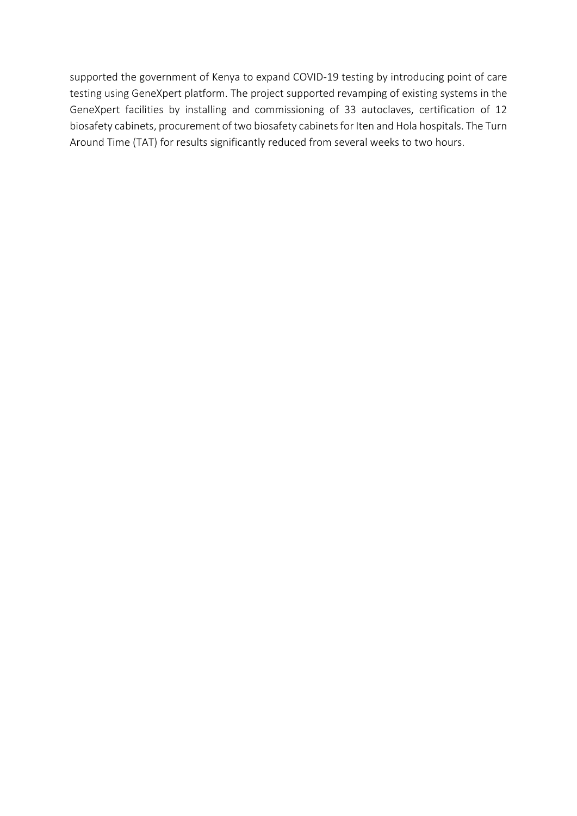supported the government of Kenya to expand COVID-19 testing by introducing point of care testing using GeneXpert platform. The project supported revamping of existing systems in the GeneXpert facilities by installing and commissioning of 33 autoclaves, certification of 12 biosafety cabinets, procurement of two biosafety cabinets for Iten and Hola hospitals. The Turn Around Time (TAT) for results significantly reduced from several weeks to two hours.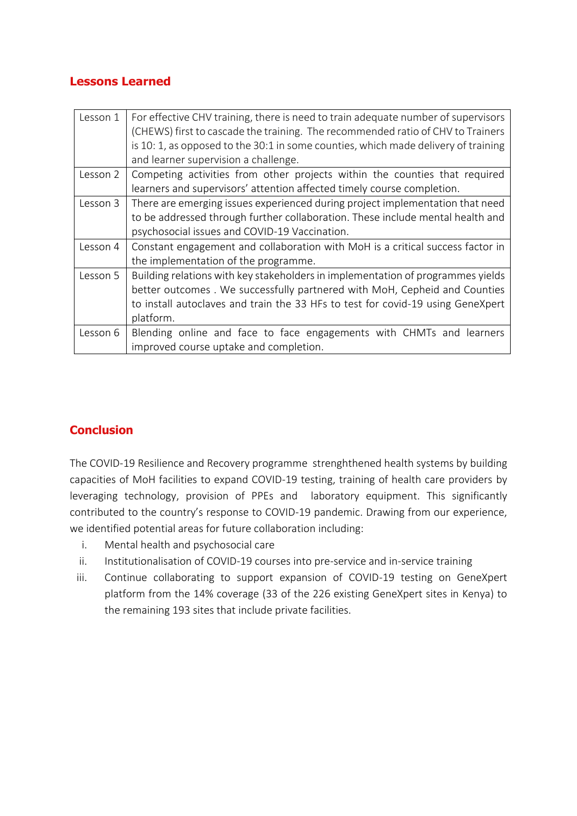### **Lessons Learned**

| Lesson 1 | For effective CHV training, there is need to train adequate number of supervisors<br>(CHEWS) first to cascade the training. The recommended ratio of CHV to Trainers<br>is 10: 1, as opposed to the 30:1 in some counties, which made delivery of training |
|----------|------------------------------------------------------------------------------------------------------------------------------------------------------------------------------------------------------------------------------------------------------------|
|          | and learner supervision a challenge.                                                                                                                                                                                                                       |
| Lesson 2 | Competing activities from other projects within the counties that required                                                                                                                                                                                 |
|          | learners and supervisors' attention affected timely course completion.                                                                                                                                                                                     |
| Lesson 3 | There are emerging issues experienced during project implementation that need                                                                                                                                                                              |
|          | to be addressed through further collaboration. These include mental health and                                                                                                                                                                             |
|          | psychosocial issues and COVID-19 Vaccination.                                                                                                                                                                                                              |
| Lesson 4 | Constant engagement and collaboration with MoH is a critical success factor in                                                                                                                                                                             |
|          | the implementation of the programme.                                                                                                                                                                                                                       |
| Lesson 5 | Building relations with key stakeholders in implementation of programmes yields                                                                                                                                                                            |
|          | better outcomes. We successfully partnered with MoH, Cepheid and Counties                                                                                                                                                                                  |
|          | to install autoclaves and train the 33 HFs to test for covid-19 using GeneXpert                                                                                                                                                                            |
|          | platform.                                                                                                                                                                                                                                                  |
| Lesson 6 | Blending online and face to face engagements with CHMTs and learners                                                                                                                                                                                       |
|          | improved course uptake and completion.                                                                                                                                                                                                                     |

## **Conclusion**

The COVID-19 Resilience and Recovery programme strenghthened health systems by building capacities of MoH facilities to expand COVID-19 testing, training of health care providers by leveraging technology, provision of PPEs and laboratory equipment. This significantly contributed to the country's response to COVID-19 pandemic. Drawing from our experience, we identified potential areas for future collaboration including:

- i. Mental health and psychosocial care
- ii. Institutionalisation of COVID-19 courses into pre-service and in-service training
- iii. Continue collaborating to support expansion of COVID-19 testing on GeneXpert platform from the 14% coverage (33 of the 226 existing GeneXpert sites in Kenya) to the remaining 193 sites that include private facilities.